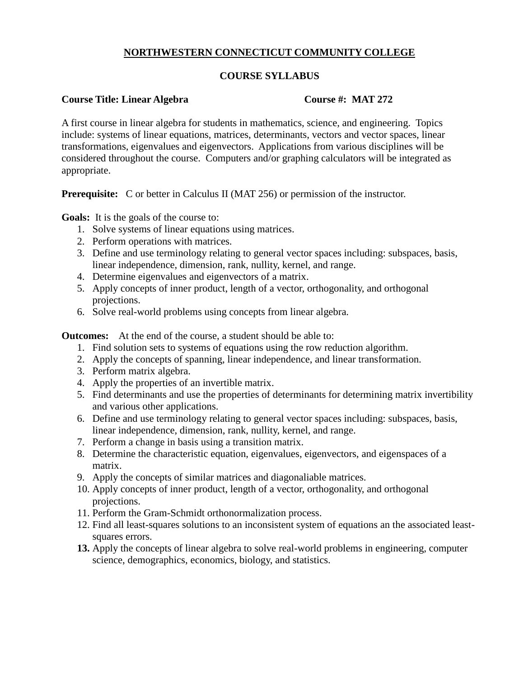# **NORTHWESTERN CONNECTICUT COMMUNITY COLLEGE**

## **COURSE SYLLABUS**

## **Course Title: Linear Algebra Course #: MAT 272**

A first course in linear algebra for students in mathematics, science, and engineering. Topics include: systems of linear equations, matrices, determinants, vectors and vector spaces, linear transformations, eigenvalues and eigenvectors. Applications from various disciplines will be considered throughout the course. Computers and/or graphing calculators will be integrated as appropriate.

**Prerequisite:** C or better in Calculus II (MAT 256) or permission of the instructor.

**Goals:** It is the goals of the course to:

- 1. Solve systems of linear equations using matrices.
- 2. Perform operations with matrices.
- 3. Define and use terminology relating to general vector spaces including: subspaces, basis, linear independence, dimension, rank, nullity, kernel, and range.
- 4. Determine eigenvalues and eigenvectors of a matrix.
- 5. Apply concepts of inner product, length of a vector, orthogonality, and orthogonal projections.
- 6. Solve real-world problems using concepts from linear algebra.

**Outcomes:** At the end of the course, a student should be able to:

- 1. Find solution sets to systems of equations using the row reduction algorithm.
- 2. Apply the concepts of spanning, linear independence, and linear transformation.
- 3. Perform matrix algebra.
- 4. Apply the properties of an invertible matrix.
- 5. Find determinants and use the properties of determinants for determining matrix invertibility and various other applications.
- 6. Define and use terminology relating to general vector spaces including: subspaces, basis, linear independence, dimension, rank, nullity, kernel, and range.
- 7. Perform a change in basis using a transition matrix.
- 8. Determine the characteristic equation, eigenvalues, eigenvectors, and eigenspaces of a matrix.
- 9. Apply the concepts of similar matrices and diagonaliable matrices.
- 10. Apply concepts of inner product, length of a vector, orthogonality, and orthogonal projections.
- 11. Perform the Gram-Schmidt orthonormalization process.
- 12. Find all least-squares solutions to an inconsistent system of equations an the associated leastsquares errors.
- **13.** Apply the concepts of linear algebra to solve real-world problems in engineering, computer science, demographics, economics, biology, and statistics.